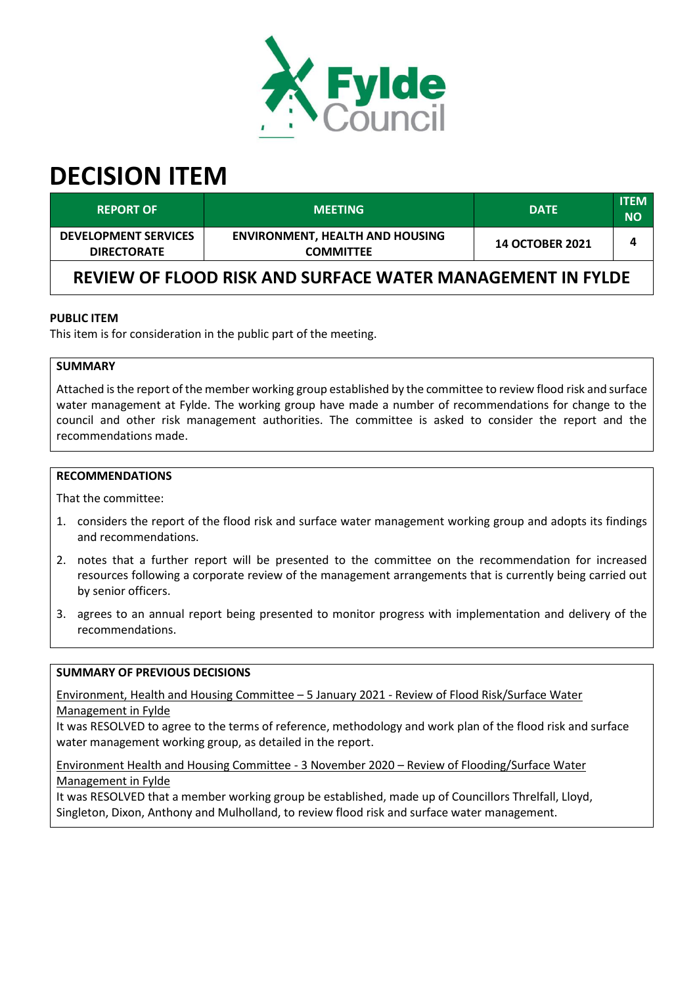

# **DECISION ITEM**

| <b>REPORT OF</b>                                           | <b>MEETING</b>                                             | <b>DATE</b>            | <b>ITEM</b><br><b>NO</b> |  |
|------------------------------------------------------------|------------------------------------------------------------|------------------------|--------------------------|--|
| <b>DEVELOPMENT SERVICES</b><br><b>DIRECTORATE</b>          | <b>ENVIRONMENT, HEALTH AND HOUSING</b><br><b>COMMITTEE</b> | <b>14 OCTOBER 2021</b> |                          |  |
| REVIEW OF FLOOD RISK AND SURFACE WATER MANAGEMENT IN FYLDE |                                                            |                        |                          |  |

## **PUBLIC ITEM**

This item is for consideration in the public part of the meeting.

## **SUMMARY**

Attached is the report of the member working group established by the committee to review flood risk and surface water management at Fylde. The working group have made a number of recommendations for change to the council and other risk management authorities. The committee is asked to consider the report and the recommendations made.

#### **RECOMMENDATIONS**

That the committee:

- 1. considers the report of the flood risk and surface water management working group and adopts its findings and recommendations.
- 2. notes that a further report will be presented to the committee on the recommendation for increased resources following a corporate review of the management arrangements that is currently being carried out by senior officers.
- 3. agrees to an annual report being presented to monitor progress with implementation and delivery of the recommendations.

#### **SUMMARY OF PREVIOUS DECISIONS**

Environment, Health and Housing Committee – 5 January 2021 - Review of Flood Risk/Surface Water Management in Fylde

It was RESOLVED to agree to the terms of reference, methodology and work plan of the flood risk and surface water management working group, as detailed in the report.

Environment Health and Housing Committee - 3 November 2020 – Review of Flooding/Surface Water Management in Fylde

It was RESOLVED that a member working group be established, made up of Councillors Threlfall, Lloyd, Singleton, Dixon, Anthony and Mulholland, to review flood risk and surface water management.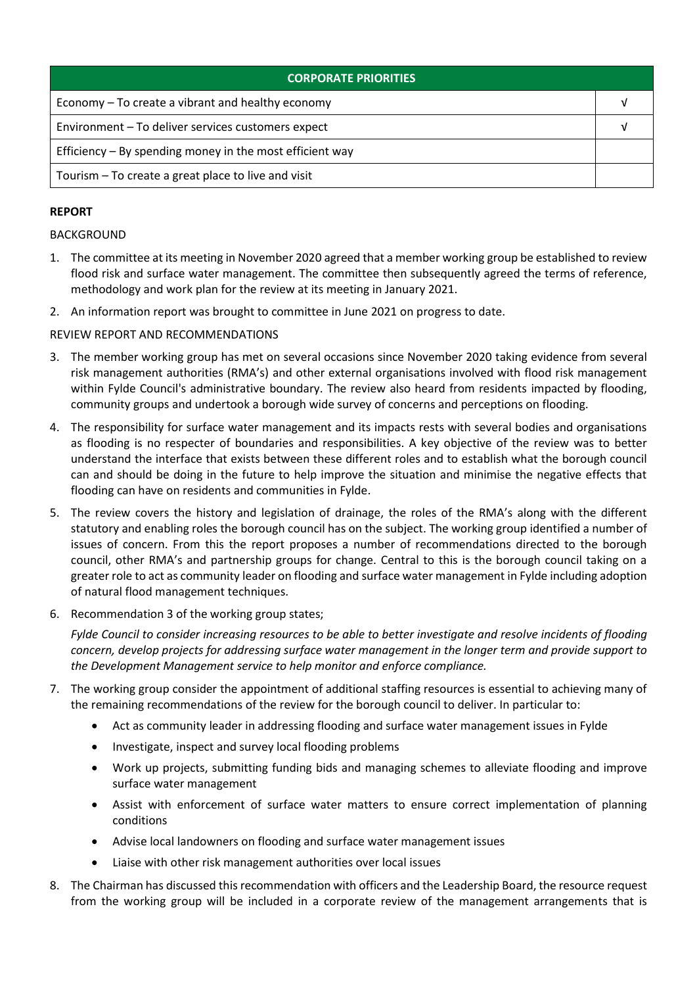| <b>CORPORATE PRIORITIES</b>                                |  |  |
|------------------------------------------------------------|--|--|
| Economy – To create a vibrant and healthy economy          |  |  |
| Environment - To deliver services customers expect         |  |  |
| Efficiency $-$ By spending money in the most efficient way |  |  |
| Tourism - To create a great place to live and visit        |  |  |

# **REPORT**

## BACKGROUND

- 1. The committee at its meeting in November 2020 agreed that a member working group be established to review flood risk and surface water management. The committee then subsequently agreed the terms of reference, methodology and work plan for the review at its meeting in January 2021.
- 2. An information report was brought to committee in June 2021 on progress to date.

# REVIEW REPORT AND RECOMMENDATIONS

- 3. The member working group has met on several occasions since November 2020 taking evidence from several risk management authorities (RMA's) and other external organisations involved with flood risk management within Fylde Council's administrative boundary. The review also heard from residents impacted by flooding, community groups and undertook a borough wide survey of concerns and perceptions on flooding.
- 4. The responsibility for surface water management and its impacts rests with several bodies and organisations as flooding is no respecter of boundaries and responsibilities. A key objective of the review was to better understand the interface that exists between these different roles and to establish what the borough council can and should be doing in the future to help improve the situation and minimise the negative effects that flooding can have on residents and communities in Fylde.
- 5. The review covers the history and legislation of drainage, the roles of the RMA's along with the different statutory and enabling roles the borough council has on the subject. The working group identified a number of issues of concern. From this the report proposes a number of recommendations directed to the borough council, other RMA's and partnership groups for change. Central to this is the borough council taking on a greater role to act as community leader on flooding and surface water management in Fylde including adoption of natural flood management techniques.
- 6. Recommendation 3 of the working group states;

*Fylde Council to consider increasing resources to be able to better investigate and resolve incidents of flooding concern, develop projects for addressing surface water management in the longer term and provide support to the Development Management service to help monitor and enforce compliance.*

- 7. The working group consider the appointment of additional staffing resources is essential to achieving many of the remaining recommendations of the review for the borough council to deliver. In particular to:
	- Act as community leader in addressing flooding and surface water management issues in Fylde
	- Investigate, inspect and survey local flooding problems
	- Work up projects, submitting funding bids and managing schemes to alleviate flooding and improve surface water management
	- Assist with enforcement of surface water matters to ensure correct implementation of planning conditions
	- Advise local landowners on flooding and surface water management issues
	- Liaise with other risk management authorities over local issues
- 8. The Chairman has discussed this recommendation with officers and the Leadership Board, the resource request from the working group will be included in a corporate review of the management arrangements that is